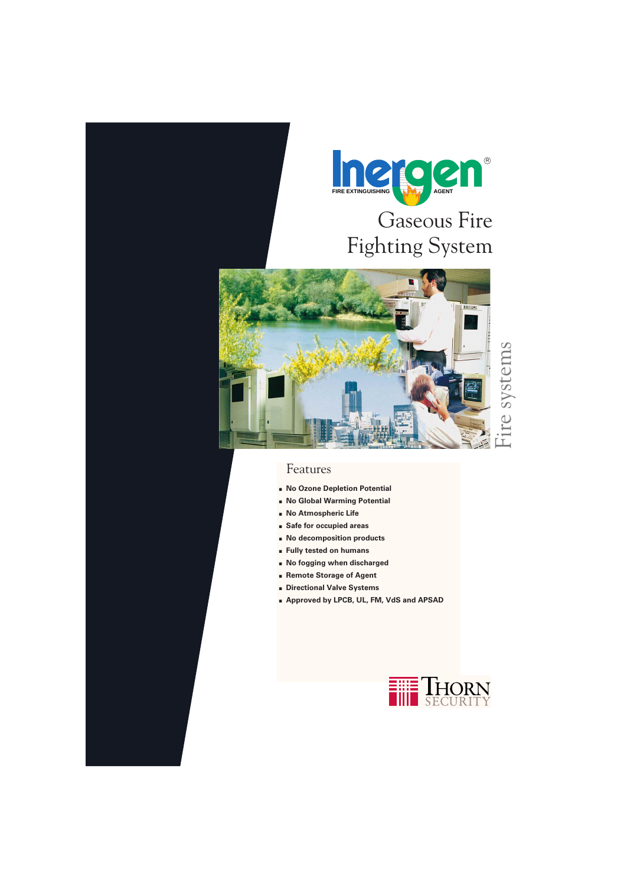

# Gaseous Fire Fighting System



### Features

- **. No Ozone Depletion Potential**
- **. No Global Warming Potential**
- **. No Atmospheric Life**
- **. Safe for occupied areas**
- **. No decomposition products**
- **. Fully tested on humans**
- **. No fogging when discharged**
- **. Remote Storage of Agent**
- **. Directional Valve Systems**
- **. Approved by LPCB, UL, FM, VdS and APSAD**

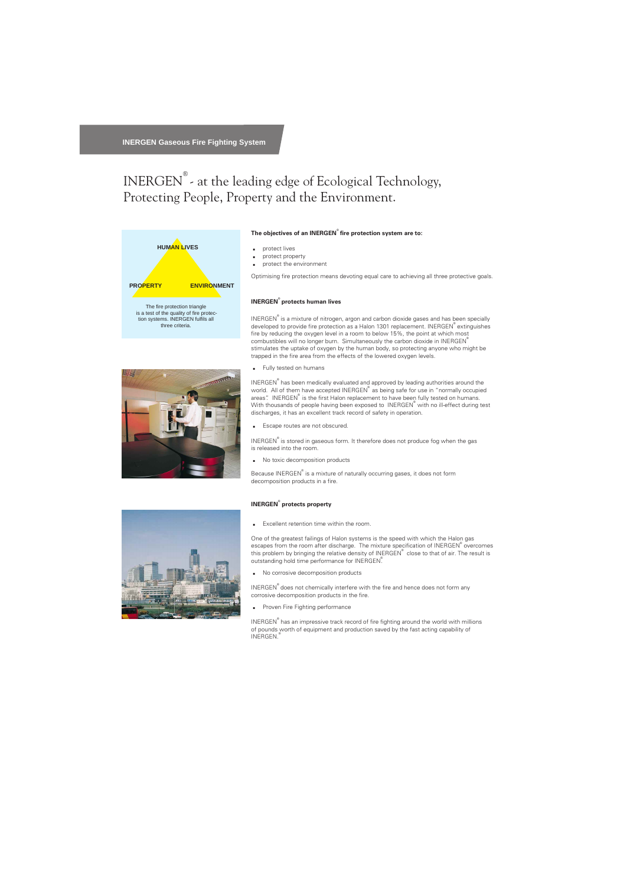## INERGEN® - at the leading edge of Ecological Technology, Protecting People, Property and the Environment.





#### **The objectives of an INERGEN® fire protection system are to:**

- . protect lives
- . protect property
- . protect the environment

Optimising fire protection means devoting equal care to achieving all three protective goals.

#### **INERGEN® protects human lives**

 ${\sf INERGEN}^{\mathbb{P}}$  is a mixture of nitrogen, argon and carbon dioxide gases and has been specially developed to provide fire protection as a Halon 1301 replacement. INERGEN® extinguishes fire by reducing the oxygen level in a room to below 15%, the point at which most combustibles will no longer burn. Simultaneously the carbon dioxide in INERGEN<sup>®</sup> stimulates the uptake of oxygen by the human body, so protecting anyone who might be trapped in the fire area from the effects of the lowered oxygen levels.

. Fully tested on humans

INERGEN<sup>®</sup> has been medically evaluated and approved by leading authorities around the world. All of them have accepted INERGEN® as being safe for use in "normally occupied areas". INERGEN® is the first Halon replacement to have been fully tested on humans. With thousands of people having been exposed to INERGEN® with no ill-effect during test discharges, it has an excellent track record of safety in operation.

. Escape routes are not obscured.

INERGEN $^\mathbb{\scriptsize\text{e}}$  is stored in gaseous form. It therefore does not produce fog when the gas is released into the room.

. No toxic decomposition products

Because INERGEN $^\mathbb{\tiny{P}}$  is a mixture of naturally occurring gases, it does not form decomposition products in a fire.

#### **INERGEN® protects property**

. Excellent retention time within the room.

One of the greatest failings of Halon systems is the speed with which the Halon gas escapes from the room after discharge. The mixture specification of INERGEN® overcomes this problem by bringing the relative density of INERGEN $^\circ$  close to that of air. The result is outstanding hold time performance for INERGEN®.

. No corrosive decomposition products

INERGEN<sup>®</sup> does not chemically interfere with the fire and hence does not form any corrosive decomposition products in the fire.

. Proven Fire Fighting performance

INERGEN<sup>®</sup> has an impressive track record of fire fighting around the world with millions of pounds worth of equipment and production saved by the fast acting capability of INERGEN.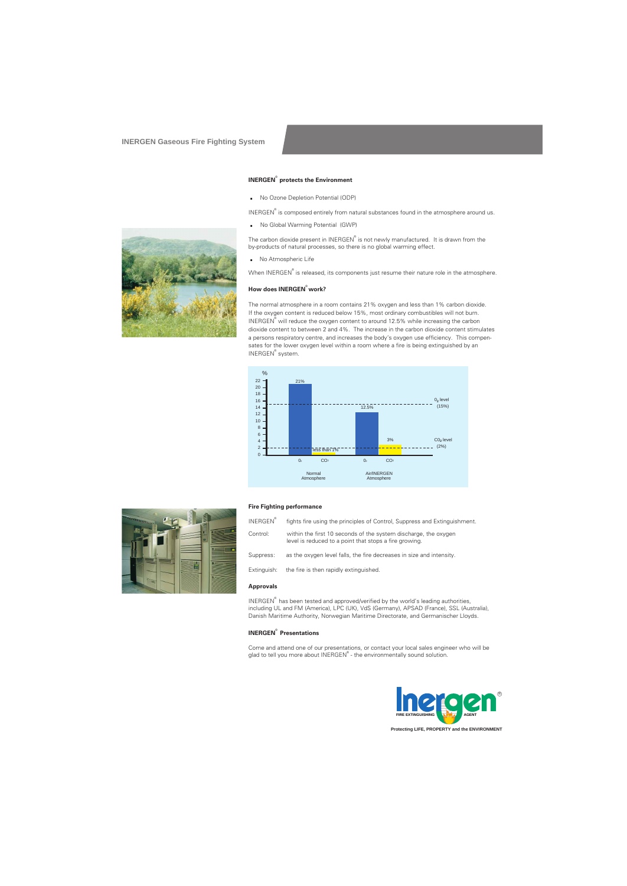#### **INERGEN® protects the Environment**

**No Ozone Depletion Potential (ODP)** 

INERGEN<sup>®</sup> is composed entirely from natural substances found in the atmosphere around us.

. No Global Warming Potential (GWP)

The carbon dioxide present in INERGEN® is not newly manufactured. It is drawn from the by-products of natural processes, so there is no global warming effect.

**No Atmospheric Life** 

When INERGEN® is released, its components just resume their nature role in the atmosphere.

#### **How does INERGEN® work?**

The normal atmosphere in a room contains 21% oxygen and less than 1% carbon dioxide. If the oxygen content is reduced below 15%, most ordinary combustibles will not burn. INERGEN $^{\circ}$  will reduce the oxygen content to around 12.5% while increasing the carbon dioxide content to between 2 and 4%. The increase in the carbon dioxide content stimulates a persons respiratory centre, and increases the body's oxygen use efficiency. This compensates for the lower oxygen level within a room where a fire is being extinguished by an INERGEN® system.





#### **Fire Fighting performance**

| <b>INERGEN®</b> | fights fire using the principles of Control, Suppress and Extinguishment.                                                 |
|-----------------|---------------------------------------------------------------------------------------------------------------------------|
| Control:        | within the first 10 seconds of the system discharge, the oxygen<br>level is reduced to a point that stops a fire growing. |
| Suppress:       | as the oxygen level falls, the fire decreases in size and intensity.                                                      |
| Extinguish:     | the fire is then rapidly extinguished.                                                                                    |
|                 |                                                                                                                           |

#### **Approvals**

INERGEN $^{\circ}$  has been tested and approved/verified by the world's leading authorities, including UL and FM (America), LPC (UK), VdS (Germany), APSAD (France), SSL (Australia), Danish Maritime Authority, Norwegian Maritime Directorate, and Germanischer Lloyds.

#### **INERGEN® Presentations**

Come and attend one of our presentations, or contact your local sales engineer who will be glad to tell you more about INERGEN® - the environmentally sound solution.